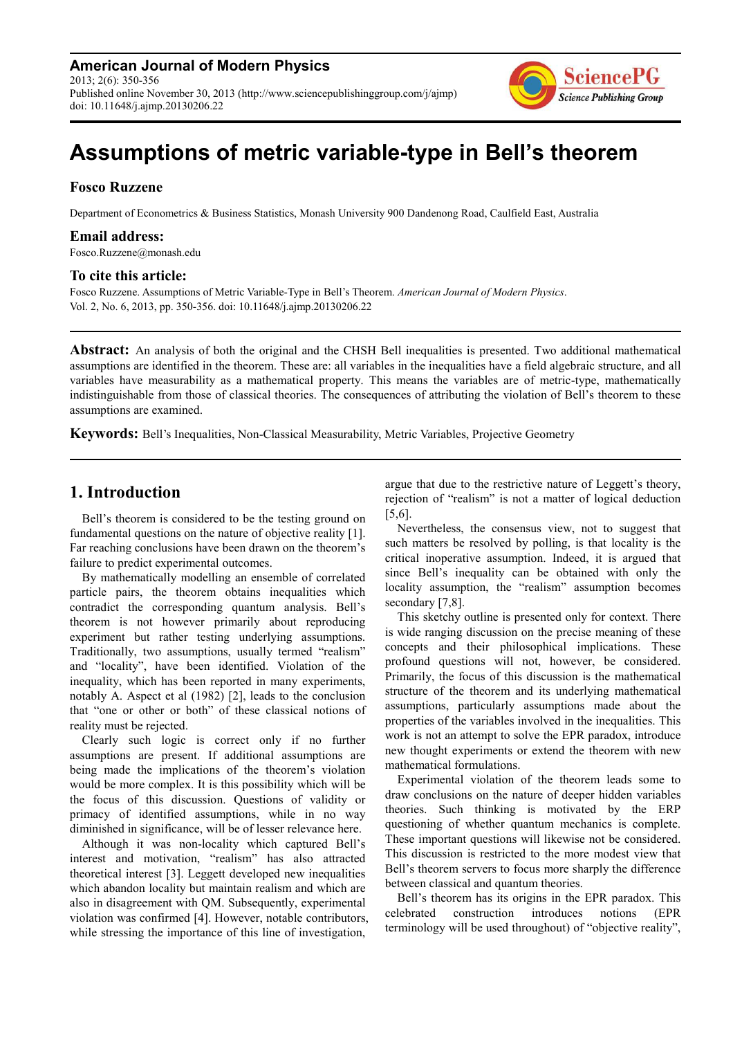**American Journal of Modern Physics** 2013; 2(6): 350-356 Published online November 30, 2013 (http://www.sciencepublishinggroup.com/j/ajmp) doi: 10.11648/j.ajmp.20130206.22



# **Assumptions of metric variable-type in Bell's theorem**

#### **Fosco Ruzzene**

Department of Econometrics & Business Statistics, Monash University 900 Dandenong Road, Caulfield East, Australia

### **Email address:**

Fosco.Ruzzene@monash.edu

#### **To cite this article:**

Fosco Ruzzene. Assumptions of Metric Variable-Type in Bell's Theorem. *American Journal of Modern Physics*. Vol. 2, No. 6, 2013, pp. 350-356. doi: 10.11648/j.ajmp.20130206.22

**Abstract:** An analysis of both the original and the CHSH Bell inequalities is presented. Two additional mathematical assumptions are identified in the theorem. These are: all variables in the inequalities have a field algebraic structure, and all variables have measurability as a mathematical property. This means the variables are of metric-type, mathematically indistinguishable from those of classical theories. The consequences of attributing the violation of Bell's theorem to these assumptions are examined.

**Keywords:** Bell's Inequalities, Non-Classical Measurability, Metric Variables, Projective Geometry

# **1. Introduction**

Bell's theorem is considered to be the testing ground on fundamental questions on the nature of objective reality [1]. Far reaching conclusions have been drawn on the theorem's failure to predict experimental outcomes.

By mathematically modelling an ensemble of correlated particle pairs, the theorem obtains inequalities which contradict the corresponding quantum analysis. Bell's theorem is not however primarily about reproducing experiment but rather testing underlying assumptions. Traditionally, two assumptions, usually termed "realism" and "locality", have been identified. Violation of the inequality, which has been reported in many experiments, notably A. Aspect et al (1982) [2], leads to the conclusion that "one or other or both" of these classical notions of reality must be rejected.

Clearly such logic is correct only if no further assumptions are present. If additional assumptions are being made the implications of the theorem's violation would be more complex. It is this possibility which will be the focus of this discussion. Questions of validity or primacy of identified assumptions, while in no way diminished in significance, will be of lesser relevance here.

Although it was non-locality which captured Bell's interest and motivation, "realism" has also attracted theoretical interest [3]. Leggett developed new inequalities which abandon locality but maintain realism and which are also in disagreement with QM. Subsequently, experimental violation was confirmed [4]. However, notable contributors, while stressing the importance of this line of investigation,

argue that due to the restrictive nature of Leggett's theory, rejection of "realism" is not a matter of logical deduction [5,6].

Nevertheless, the consensus view, not to suggest that such matters be resolved by polling, is that locality is the critical inoperative assumption. Indeed, it is argued that since Bell's inequality can be obtained with only the locality assumption, the "realism" assumption becomes secondary [7,8].

This sketchy outline is presented only for context. There is wide ranging discussion on the precise meaning of these concepts and their philosophical implications. These profound questions will not, however, be considered. Primarily, the focus of this discussion is the mathematical structure of the theorem and its underlying mathematical assumptions, particularly assumptions made about the properties of the variables involved in the inequalities. This work is not an attempt to solve the EPR paradox, introduce new thought experiments or extend the theorem with new mathematical formulations.

Experimental violation of the theorem leads some to draw conclusions on the nature of deeper hidden variables theories. Such thinking is motivated by the ERP questioning of whether quantum mechanics is complete. These important questions will likewise not be considered. This discussion is restricted to the more modest view that Bell's theorem servers to focus more sharply the difference between classical and quantum theories.

Bell's theorem has its origins in the EPR paradox. This celebrated construction introduces notions (EPR terminology will be used throughout) of "objective reality",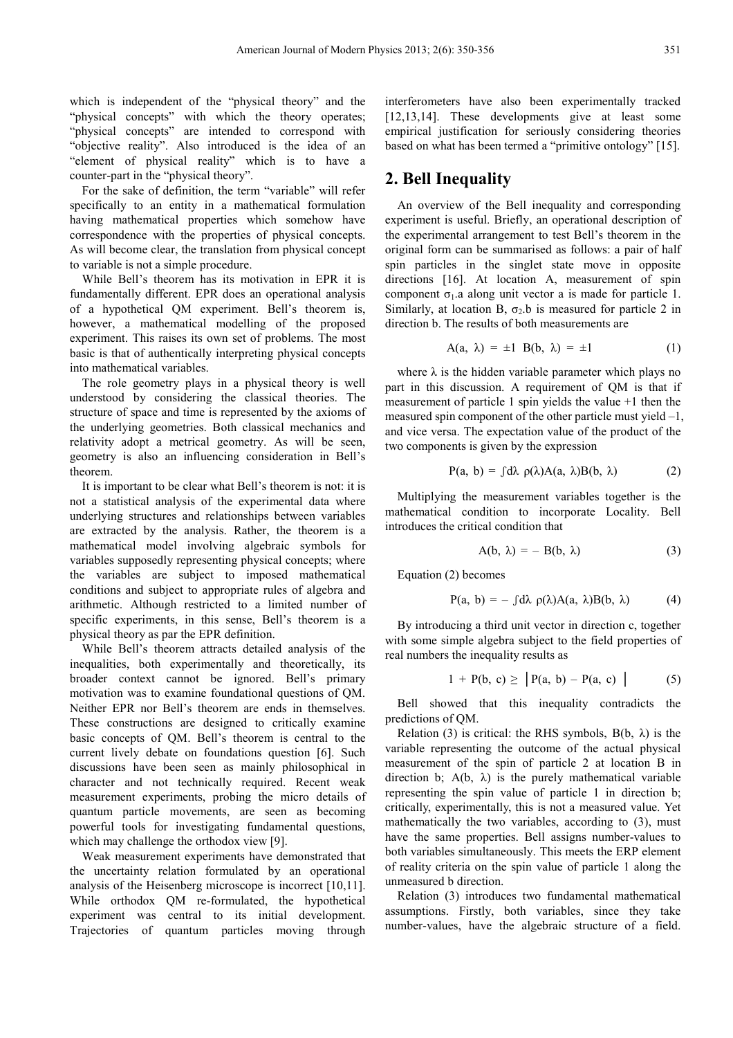which is independent of the "physical theory" and the "physical concepts" with which the theory operates; "physical concepts" are intended to correspond with "objective reality". Also introduced is the idea of an "element of physical reality" which is to have a counter-part in the "physical theory".

For the sake of definition, the term "variable" will refer specifically to an entity in a mathematical formulation having mathematical properties which somehow have correspondence with the properties of physical concepts. As will become clear, the translation from physical concept to variable is not a simple procedure.

While Bell's theorem has its motivation in EPR it is fundamentally different. EPR does an operational analysis of a hypothetical QM experiment. Bell's theorem is, however, a mathematical modelling of the proposed experiment. This raises its own set of problems. The most basic is that of authentically interpreting physical concepts into mathematical variables.

The role geometry plays in a physical theory is well understood by considering the classical theories. The structure of space and time is represented by the axioms of the underlying geometries. Both classical mechanics and relativity adopt a metrical geometry. As will be seen, geometry is also an influencing consideration in Bell's theorem.

It is important to be clear what Bell's theorem is not: it is not a statistical analysis of the experimental data where underlying structures and relationships between variables are extracted by the analysis. Rather, the theorem is a mathematical model involving algebraic symbols for variables supposedly representing physical concepts; where the variables are subject to imposed mathematical conditions and subject to appropriate rules of algebra and arithmetic. Although restricted to a limited number of specific experiments, in this sense, Bell's theorem is a physical theory as par the EPR definition.

While Bell's theorem attracts detailed analysis of the inequalities, both experimentally and theoretically, its broader context cannot be ignored. Bell's primary motivation was to examine foundational questions of QM. Neither EPR nor Bell's theorem are ends in themselves. These constructions are designed to critically examine basic concepts of QM. Bell's theorem is central to the current lively debate on foundations question [6]. Such discussions have been seen as mainly philosophical in character and not technically required. Recent weak measurement experiments, probing the micro details of quantum particle movements, are seen as becoming powerful tools for investigating fundamental questions, which may challenge the orthodox view [9].

Weak measurement experiments have demonstrated that the uncertainty relation formulated by an operational analysis of the Heisenberg microscope is incorrect [10,11]. While orthodox QM re-formulated, the hypothetical experiment was central to its initial development. Trajectories of quantum particles moving through

interferometers have also been experimentally tracked [12,13,14]. These developments give at least some empirical justification for seriously considering theories based on what has been termed a "primitive ontology" [15].

# **2. Bell Inequality**

An overview of the Bell inequality and corresponding experiment is useful. Briefly, an operational description of the experimental arrangement to test Bell's theorem in the original form can be summarised as follows: a pair of half spin particles in the singlet state move in opposite directions [16]. At location A, measurement of spin component  $\sigma_1$  a along unit vector a is made for particle 1. Similarly, at location B,  $\sigma_2$  b is measured for particle 2 in direction b. The results of both measurements are

$$
A(a, \lambda) = \pm 1 \quad B(b, \lambda) = \pm 1 \tag{1}
$$

where  $\lambda$  is the hidden variable parameter which plays no part in this discussion. A requirement of QM is that if measurement of particle 1 spin yields the value +1 then the measured spin component of the other particle must yield –1, and vice versa. The expectation value of the product of the two components is given by the expression

$$
P(a, b) = \int d\lambda \, \rho(\lambda) A(a, \lambda) B(b, \lambda) \tag{2}
$$

Multiplying the measurement variables together is the mathematical condition to incorporate Locality. Bell introduces the critical condition that

$$
A(b, \lambda) = - B(b, \lambda) \tag{3}
$$

Equation (2) becomes

$$
P(a, b) = - \int d\lambda \rho(\lambda) A(a, \lambda) B(b, \lambda) \tag{4}
$$

By introducing a third unit vector in direction c, together with some simple algebra subject to the field properties of real numbers the inequality results as

$$
1 + P(b, c) \ge |P(a, b) - P(a, c)| \tag{5}
$$

Bell showed that this inequality contradicts the predictions of QM.

Relation (3) is critical: the RHS symbols,  $B(b, \lambda)$  is the variable representing the outcome of the actual physical measurement of the spin of particle 2 at location B in direction b;  $A(b, \lambda)$  is the purely mathematical variable representing the spin value of particle 1 in direction b; critically, experimentally, this is not a measured value. Yet mathematically the two variables, according to (3), must have the same properties. Bell assigns number-values to both variables simultaneously. This meets the ERP element of reality criteria on the spin value of particle 1 along the unmeasured b direction.

Relation (3) introduces two fundamental mathematical assumptions. Firstly, both variables, since they take number-values, have the algebraic structure of a field.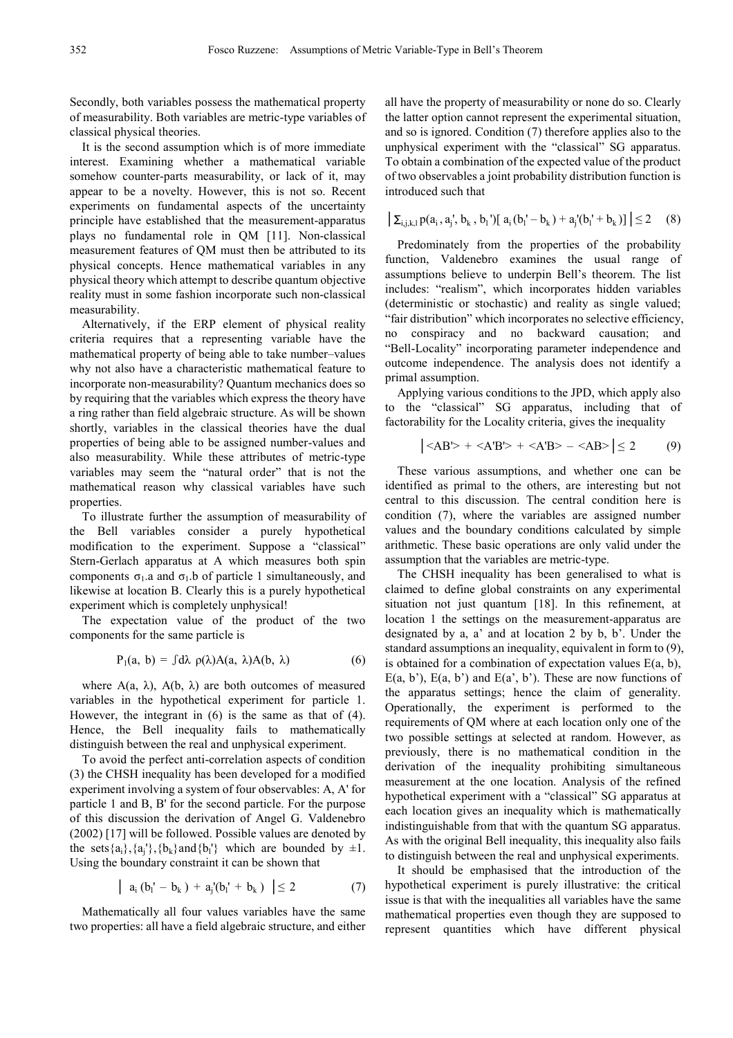Secondly, both variables possess the mathematical property of measurability. Both variables are metric-type variables of classical physical theories.

It is the second assumption which is of more immediate interest. Examining whether a mathematical variable somehow counter-parts measurability, or lack of it, may appear to be a novelty. However, this is not so. Recent experiments on fundamental aspects of the uncertainty principle have established that the measurement-apparatus plays no fundamental role in QM [11]. Non-classical measurement features of QM must then be attributed to its physical concepts. Hence mathematical variables in any physical theory which attempt to describe quantum objective reality must in some fashion incorporate such non-classical measurability.

Alternatively, if the ERP element of physical reality criteria requires that a representing variable have the mathematical property of being able to take number–values why not also have a characteristic mathematical feature to incorporate non-measurability? Quantum mechanics does so by requiring that the variables which express the theory have a ring rather than field algebraic structure. As will be shown shortly, variables in the classical theories have the dual properties of being able to be assigned number-values and also measurability. While these attributes of metric-type variables may seem the "natural order" that is not the mathematical reason why classical variables have such properties.

To illustrate further the assumption of measurability of the Bell variables consider a purely hypothetical modification to the experiment. Suppose a "classical" Stern-Gerlach apparatus at A which measures both spin components  $\sigma_1$ .a and  $\sigma_1$ .b of particle 1 simultaneously, and likewise at location B. Clearly this is a purely hypothetical experiment which is completely unphysical!

The expectation value of the product of the two components for the same particle is

$$
P_1(a, b) = \int d\lambda \rho(\lambda) A(a, \lambda) A(b, \lambda) \tag{6}
$$

where  $A(a, \lambda)$ ,  $A(b, \lambda)$  are both outcomes of measured variables in the hypothetical experiment for particle 1. However, the integrant in (6) is the same as that of (4). Hence, the Bell inequality fails to mathematically distinguish between the real and unphysical experiment.

To avoid the perfect anti-correlation aspects of condition (3) the CHSH inequality has been developed for a modified experiment involving a system of four observables: A, A' for particle 1 and B, B' for the second particle. For the purpose of this discussion the derivation of Angel G. Valdenebro (2002) [17] will be followed. Possible values are denoted by the sets  $\{a_i\}$ ,  $\{a_j'\}$ ,  $\{b_k\}$  and  $\{b_l'\}$  which are bounded by  $\pm 1$ . Using the boundary constraint it can be shown that

$$
\left| a_{i} (b_{i}^{\prime} - b_{k}) + a_{j}^{\prime} (b_{i}^{\prime} + b_{k}) \right| \leq 2 \tag{7}
$$

Mathematically all four values variables have the same two properties: all have a field algebraic structure, and either all have the property of measurability or none do so. Clearly the latter option cannot represent the experimental situation, and so is ignored. Condition (7) therefore applies also to the unphysical experiment with the "classical" SG apparatus. To obtain a combination of the expected value of the product of two observables a joint probability distribution function is introduced such that

$$
\left| \sum_{i,j,k,l} p(a_i,a_j',b_k,b_l') [a_i(b_l'-b_k) + a_j'(b_l'+b_k)] \right| \le 2 \quad (8)
$$

Predominately from the properties of the probability function, Valdenebro examines the usual range of assumptions believe to underpin Bell's theorem. The list includes: "realism", which incorporates hidden variables (deterministic or stochastic) and reality as single valued; "fair distribution" which incorporates no selective efficiency, no conspiracy and no backward causation; and "Bell-Locality" incorporating parameter independence and outcome independence. The analysis does not identify a primal assumption.

Applying various conditions to the JPD, which apply also to the "classical" SG apparatus, including that of factorability for the Locality criteria, gives the inequality

$$
\left| \langle AB' \rangle + \langle A'B' \rangle + \langle A'B \rangle - \langle AB \rangle \right| \le 2 \tag{9}
$$

These various assumptions, and whether one can be identified as primal to the others, are interesting but not central to this discussion. The central condition here is condition (7), where the variables are assigned number values and the boundary conditions calculated by simple arithmetic. These basic operations are only valid under the assumption that the variables are metric-type.

The CHSH inequality has been generalised to what is claimed to define global constraints on any experimental situation not just quantum [18]. In this refinement, at location 1 the settings on the measurement-apparatus are designated by a, a' and at location 2 by b, b'. Under the standard assumptions an inequality, equivalent in form to (9), is obtained for a combination of expectation values  $E(a, b)$ , E(a, b'), E(a, b') and E(a', b'). These are now functions of the apparatus settings; hence the claim of generality. Operationally, the experiment is performed to the requirements of QM where at each location only one of the two possible settings at selected at random. However, as previously, there is no mathematical condition in the derivation of the inequality prohibiting simultaneous measurement at the one location. Analysis of the refined hypothetical experiment with a "classical" SG apparatus at each location gives an inequality which is mathematically indistinguishable from that with the quantum SG apparatus. As with the original Bell inequality, this inequality also fails to distinguish between the real and unphysical experiments.

It should be emphasised that the introduction of the hypothetical experiment is purely illustrative: the critical issue is that with the inequalities all variables have the same mathematical properties even though they are supposed to represent quantities which have different physical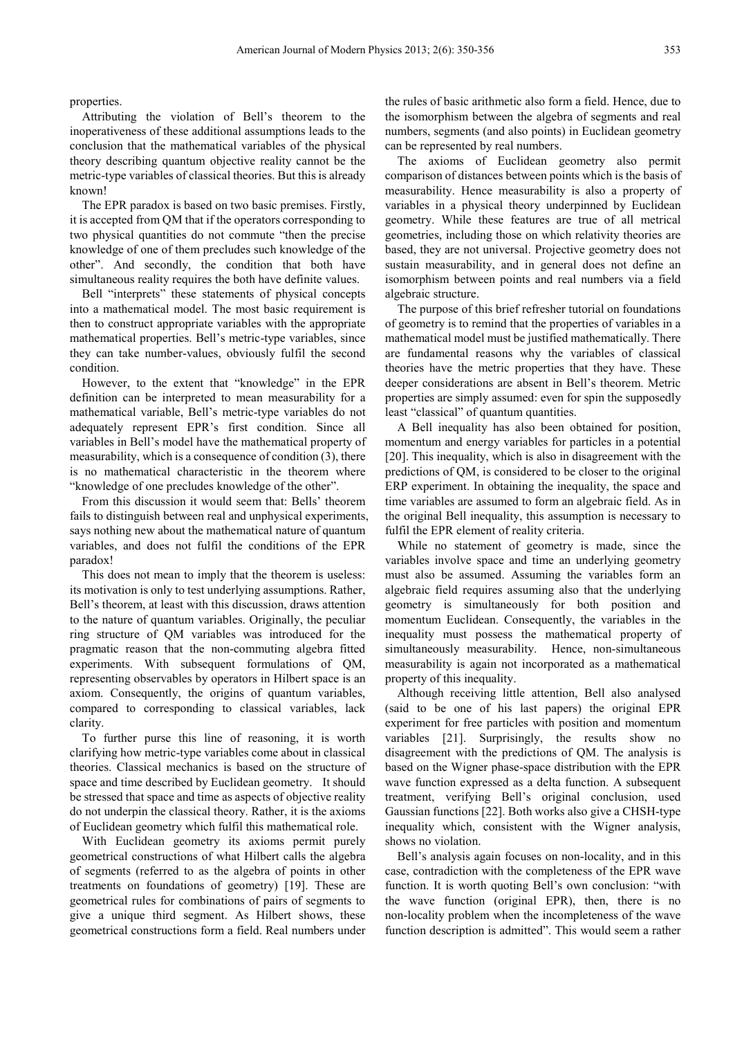properties.

Attributing the violation of Bell's theorem to the inoperativeness of these additional assumptions leads to the conclusion that the mathematical variables of the physical theory describing quantum objective reality cannot be the metric-type variables of classical theories. But this is already known!

The EPR paradox is based on two basic premises. Firstly, it is accepted from QM that if the operators corresponding to two physical quantities do not commute "then the precise knowledge of one of them precludes such knowledge of the other". And secondly, the condition that both have simultaneous reality requires the both have definite values.

Bell "interprets" these statements of physical concepts into a mathematical model. The most basic requirement is then to construct appropriate variables with the appropriate mathematical properties. Bell's metric-type variables, since they can take number-values, obviously fulfil the second condition.

However, to the extent that "knowledge" in the EPR definition can be interpreted to mean measurability for a mathematical variable, Bell's metric-type variables do not adequately represent EPR's first condition. Since all variables in Bell's model have the mathematical property of measurability, which is a consequence of condition (3), there is no mathematical characteristic in the theorem where "knowledge of one precludes knowledge of the other".

From this discussion it would seem that: Bells' theorem fails to distinguish between real and unphysical experiments, says nothing new about the mathematical nature of quantum variables, and does not fulfil the conditions of the EPR paradox!

This does not mean to imply that the theorem is useless: its motivation is only to test underlying assumptions. Rather, Bell's theorem, at least with this discussion, draws attention to the nature of quantum variables. Originally, the peculiar ring structure of QM variables was introduced for the pragmatic reason that the non-commuting algebra fitted experiments. With subsequent formulations of QM, representing observables by operators in Hilbert space is an axiom. Consequently, the origins of quantum variables, compared to corresponding to classical variables, lack clarity.

To further purse this line of reasoning, it is worth clarifying how metric-type variables come about in classical theories. Classical mechanics is based on the structure of space and time described by Euclidean geometry. It should be stressed that space and time as aspects of objective reality do not underpin the classical theory. Rather, it is the axioms of Euclidean geometry which fulfil this mathematical role.

With Euclidean geometry its axioms permit purely geometrical constructions of what Hilbert calls the algebra of segments (referred to as the algebra of points in other treatments on foundations of geometry) [19]. These are geometrical rules for combinations of pairs of segments to give a unique third segment. As Hilbert shows, these geometrical constructions form a field. Real numbers under the rules of basic arithmetic also form a field. Hence, due to the isomorphism between the algebra of segments and real numbers, segments (and also points) in Euclidean geometry can be represented by real numbers.

The axioms of Euclidean geometry also permit comparison of distances between points which is the basis of measurability. Hence measurability is also a property of variables in a physical theory underpinned by Euclidean geometry. While these features are true of all metrical geometries, including those on which relativity theories are based, they are not universal. Projective geometry does not sustain measurability, and in general does not define an isomorphism between points and real numbers via a field algebraic structure.

The purpose of this brief refresher tutorial on foundations of geometry is to remind that the properties of variables in a mathematical model must be justified mathematically. There are fundamental reasons why the variables of classical theories have the metric properties that they have. These deeper considerations are absent in Bell's theorem. Metric properties are simply assumed: even for spin the supposedly least "classical" of quantum quantities.

A Bell inequality has also been obtained for position, momentum and energy variables for particles in a potential [20]. This inequality, which is also in disagreement with the predictions of QM, is considered to be closer to the original ERP experiment. In obtaining the inequality, the space and time variables are assumed to form an algebraic field. As in the original Bell inequality, this assumption is necessary to fulfil the EPR element of reality criteria.

While no statement of geometry is made, since the variables involve space and time an underlying geometry must also be assumed. Assuming the variables form an algebraic field requires assuming also that the underlying geometry is simultaneously for both position and momentum Euclidean. Consequently, the variables in the inequality must possess the mathematical property of simultaneously measurability. Hence, non-simultaneous measurability is again not incorporated as a mathematical property of this inequality.

Although receiving little attention, Bell also analysed (said to be one of his last papers) the original EPR experiment for free particles with position and momentum variables [21]. Surprisingly, the results show no disagreement with the predictions of QM. The analysis is based on the Wigner phase-space distribution with the EPR wave function expressed as a delta function. A subsequent treatment, verifying Bell's original conclusion, used Gaussian functions [22]. Both works also give a CHSH-type inequality which, consistent with the Wigner analysis, shows no violation.

Bell's analysis again focuses on non-locality, and in this case, contradiction with the completeness of the EPR wave function. It is worth quoting Bell's own conclusion: "with the wave function (original EPR), then, there is no non-locality problem when the incompleteness of the wave function description is admitted". This would seem a rather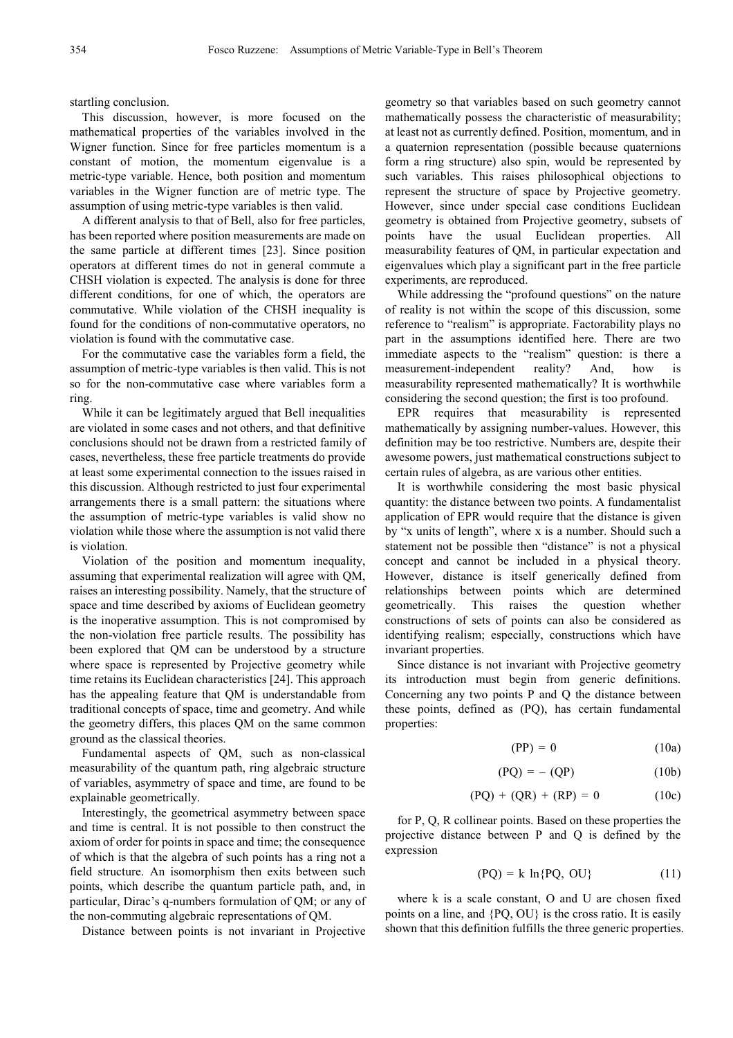startling conclusion.

This discussion, however, is more focused on the mathematical properties of the variables involved in the Wigner function. Since for free particles momentum is a constant of motion, the momentum eigenvalue is a metric-type variable. Hence, both position and momentum variables in the Wigner function are of metric type. The assumption of using metric-type variables is then valid.

A different analysis to that of Bell, also for free particles, has been reported where position measurements are made on the same particle at different times [23]. Since position operators at different times do not in general commute a CHSH violation is expected. The analysis is done for three different conditions, for one of which, the operators are commutative. While violation of the CHSH inequality is found for the conditions of non-commutative operators, no violation is found with the commutative case.

For the commutative case the variables form a field, the assumption of metric-type variables is then valid. This is not so for the non-commutative case where variables form a ring.

While it can be legitimately argued that Bell inequalities are violated in some cases and not others, and that definitive conclusions should not be drawn from a restricted family of cases, nevertheless, these free particle treatments do provide at least some experimental connection to the issues raised in this discussion. Although restricted to just four experimental arrangements there is a small pattern: the situations where the assumption of metric-type variables is valid show no violation while those where the assumption is not valid there is violation.

Violation of the position and momentum inequality, assuming that experimental realization will agree with QM, raises an interesting possibility. Namely, that the structure of space and time described by axioms of Euclidean geometry is the inoperative assumption. This is not compromised by the non-violation free particle results. The possibility has been explored that QM can be understood by a structure where space is represented by Projective geometry while time retains its Euclidean characteristics [24]. This approach has the appealing feature that QM is understandable from traditional concepts of space, time and geometry. And while the geometry differs, this places QM on the same common ground as the classical theories.

Fundamental aspects of QM, such as non-classical measurability of the quantum path, ring algebraic structure of variables, asymmetry of space and time, are found to be explainable geometrically.

Interestingly, the geometrical asymmetry between space and time is central. It is not possible to then construct the axiom of order for points in space and time; the consequence of which is that the algebra of such points has a ring not a field structure. An isomorphism then exits between such points, which describe the quantum particle path, and, in particular, Dirac's q-numbers formulation of QM; or any of the non-commuting algebraic representations of QM.

Distance between points is not invariant in Projective

geometry so that variables based on such geometry cannot mathematically possess the characteristic of measurability; at least not as currently defined. Position, momentum, and in a quaternion representation (possible because quaternions form a ring structure) also spin, would be represented by such variables. This raises philosophical objections to represent the structure of space by Projective geometry. However, since under special case conditions Euclidean geometry is obtained from Projective geometry, subsets of points have the usual Euclidean properties. All measurability features of QM, in particular expectation and eigenvalues which play a significant part in the free particle experiments, are reproduced.

While addressing the "profound questions" on the nature of reality is not within the scope of this discussion, some reference to "realism" is appropriate. Factorability plays no part in the assumptions identified here. There are two immediate aspects to the "realism" question: is there a measurement-independent reality? And, how is measurability represented mathematically? It is worthwhile considering the second question; the first is too profound.

EPR requires that measurability is represented mathematically by assigning number-values. However, this definition may be too restrictive. Numbers are, despite their awesome powers, just mathematical constructions subject to certain rules of algebra, as are various other entities.

It is worthwhile considering the most basic physical quantity: the distance between two points. A fundamentalist application of EPR would require that the distance is given by "x units of length", where x is a number. Should such a statement not be possible then "distance" is not a physical concept and cannot be included in a physical theory. However, distance is itself generically defined from relationships between points which are determined geometrically. This raises the question whether constructions of sets of points can also be considered as identifying realism; especially, constructions which have invariant properties.

Since distance is not invariant with Projective geometry its introduction must begin from generic definitions. Concerning any two points P and Q the distance between these points, defined as (PQ), has certain fundamental properties:

$$
(PP) = 0 \tag{10a}
$$

$$
(PQ) = - (QP) \tag{10b}
$$

$$
(PQ) + (QR) + (RP) = 0 \t(10c)
$$

for P, Q, R collinear points. Based on these properties the projective distance between P and Q is defined by the expression

$$
(PQ) = k \ln\{PQ, OU\} \tag{11}
$$

where k is a scale constant, O and U are chosen fixed points on a line, and {PQ, OU} is the cross ratio. It is easily shown that this definition fulfills the three generic properties.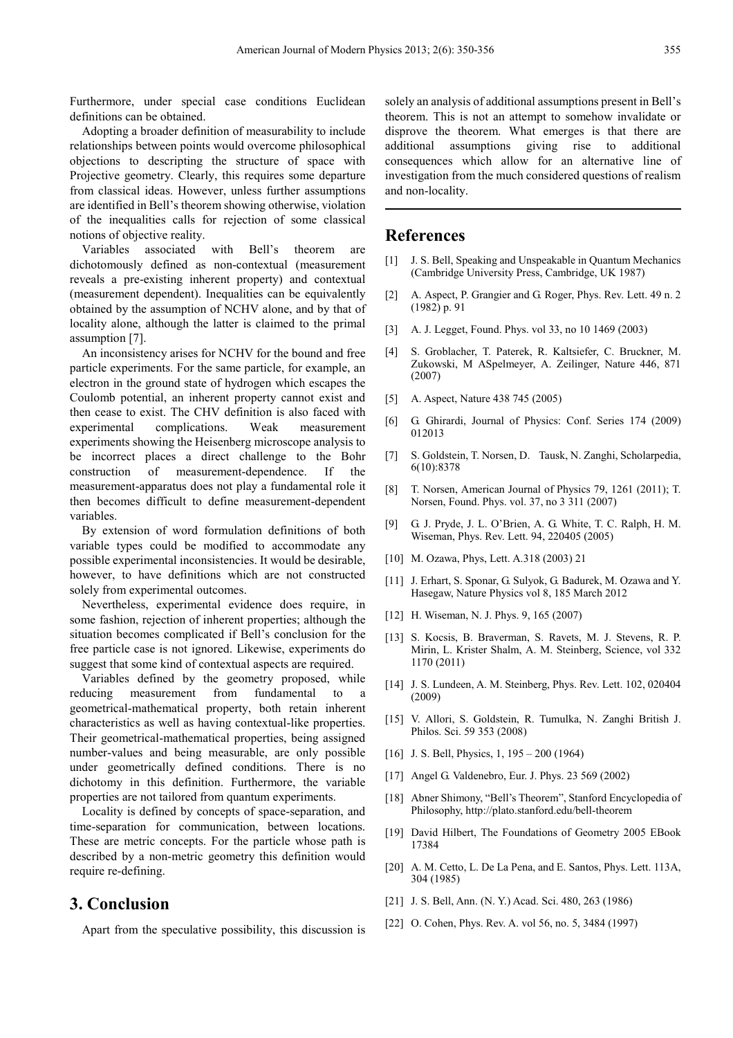Furthermore, under special case conditions Euclidean definitions can be obtained.

Adopting a broader definition of measurability to include relationships between points would overcome philosophical objections to descripting the structure of space with Projective geometry. Clearly, this requires some departure from classical ideas. However, unless further assumptions are identified in Bell's theorem showing otherwise, violation of the inequalities calls for rejection of some classical notions of objective reality.

Variables associated with Bell's theorem are dichotomously defined as non-contextual (measurement reveals a pre-existing inherent property) and contextual (measurement dependent). Inequalities can be equivalently obtained by the assumption of NCHV alone, and by that of locality alone, although the latter is claimed to the primal assumption [7].

An inconsistency arises for NCHV for the bound and free particle experiments. For the same particle, for example, an electron in the ground state of hydrogen which escapes the Coulomb potential, an inherent property cannot exist and then cease to exist. The CHV definition is also faced with experimental complications. Weak measurement experiments showing the Heisenberg microscope analysis to be incorrect places a direct challenge to the Bohr construction of measurement-dependence. If the measurement-apparatus does not play a fundamental role it then becomes difficult to define measurement-dependent variables.

By extension of word formulation definitions of both variable types could be modified to accommodate any possible experimental inconsistencies. It would be desirable, however, to have definitions which are not constructed solely from experimental outcomes.

Nevertheless, experimental evidence does require, in some fashion, rejection of inherent properties; although the situation becomes complicated if Bell's conclusion for the free particle case is not ignored. Likewise, experiments do suggest that some kind of contextual aspects are required.

Variables defined by the geometry proposed, while reducing measurement from fundamental to a geometrical-mathematical property, both retain inherent characteristics as well as having contextual-like properties. Their geometrical-mathematical properties, being assigned number-values and being measurable, are only possible under geometrically defined conditions. There is no dichotomy in this definition. Furthermore, the variable properties are not tailored from quantum experiments.

Locality is defined by concepts of space-separation, and time-separation for communication, between locations. These are metric concepts. For the particle whose path is described by a non-metric geometry this definition would require re-defining.

### **3. Conclusion**

Apart from the speculative possibility, this discussion is

solely an analysis of additional assumptions present in Bell's theorem. This is not an attempt to somehow invalidate or disprove the theorem. What emerges is that there are additional assumptions giving rise to additional consequences which allow for an alternative line of investigation from the much considered questions of realism and non-locality.

## **References**

- [1] J. S. Bell, Speaking and Unspeakable in Quantum Mechanics (Cambridge University Press, Cambridge, UK 1987)
- [2] A. Aspect, P. Grangier and G. Roger, Phys. Rev. Lett. 49 n. 2 (1982) p. 91
- [3] A. J. Legget, Found. Phys. vol 33, no 10 1469 (2003)
- [4] S. Groblacher, T. Paterek, R. Kaltsiefer, C. Bruckner, M. Zukowski, M ASpelmeyer, A. Zeilinger, Nature 446, 871 (2007)
- [5] A. Aspect, Nature 438 745 (2005)
- [6] G. Ghirardi, Journal of Physics: Conf. Series 174 (2009) 012013
- [7] S. Goldstein, T. Norsen, D. Tausk, N. Zanghi, Scholarpedia, 6(10):8378
- [8] T. Norsen, American Journal of Physics 79, 1261 (2011); T. Norsen, Found. Phys. vol. 37, no 3 311 (2007)
- [9] G. J. Pryde, J. L. O'Brien, A. G. White, T. C. Ralph, H. M. Wiseman, Phys. Rev. Lett. 94, 220405 (2005)
- [10] M. Ozawa, Phys, Lett. A.318 (2003) 21
- [11] J. Erhart, S. Sponar, G. Sulyok, G. Badurek, M. Ozawa and Y. Hasegaw, Nature Physics vol 8, 185 March 2012
- [12] H. Wiseman, N. J. Phys. 9, 165 (2007)
- [13] S. Kocsis, B. Braverman, S. Ravets, M. J. Stevens, R. P. Mirin, L. Krister Shalm, A. M. Steinberg, Science, vol 332 1170 (2011)
- [14] J. S. Lundeen, A. M. Steinberg, Phys. Rev. Lett. 102, 020404 (2009)
- [15] V. Allori, S. Goldstein, R. Tumulka, N. Zanghi British J. Philos. Sci. 59 353 (2008)
- [16] J. S. Bell, Physics, 1, 195 200 (1964)
- [17] Angel G. Valdenebro, Eur. J. Phys. 23 569 (2002)
- [18] Abner Shimony, "Bell's Theorem", Stanford Encyclopedia of Philosophy, http://plato.stanford.edu/bell-theorem
- [19] David Hilbert, The Foundations of Geometry 2005 EBook 17384
- [20] A. M. Cetto, L. De La Pena, and E. Santos, Phys. Lett. 113A, 304 (1985)
- [21] J. S. Bell, Ann. (N. Y.) Acad. Sci. 480, 263 (1986)
- [22] O. Cohen, Phys. Rev. A. vol 56, no. 5, 3484 (1997)